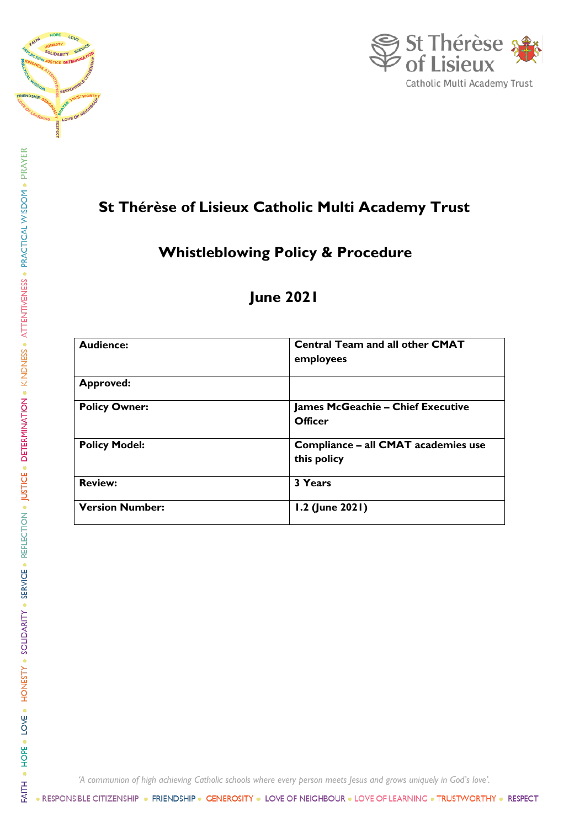



# **St Thérèse of Lisieux Catholic Multi Academy Trust**

# **Whistleblowing Policy & Procedure**

# **June 2021**

| <b>Audience:</b>       | <b>Central Team and all other CMAT</b><br>employees |
|------------------------|-----------------------------------------------------|
| <b>Approved:</b>       |                                                     |
| <b>Policy Owner:</b>   | <b>James McGeachie - Chief Executive</b><br>Officer |
| <b>Policy Model:</b>   | Compliance - all CMAT academies use<br>this policy  |
| <b>Review:</b>         | 3 Years                                             |
| <b>Version Number:</b> | 1.2 (June 2021)                                     |

*'A communion of high achieving Catholic schools where every person meets Jesus and grows uniquely in God's love'.*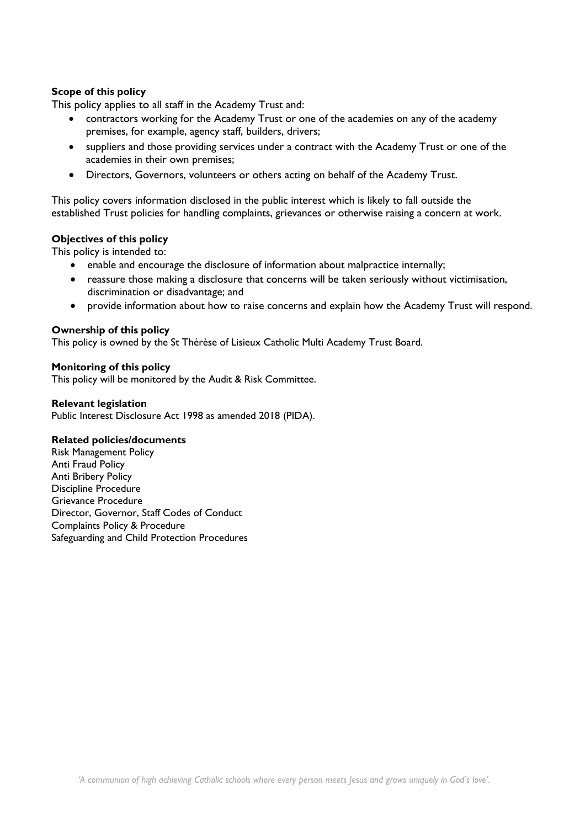# **Scope of this policy**

This policy applies to all staff in the Academy Trust and:

- contractors working for the Academy Trust or one of the academies on any of the academy premises, for example, agency staff, builders, drivers;
- suppliers and those providing services under a contract with the Academy Trust or one of the academies in their own premises;
- Directors, Governors, volunteers or others acting on behalf of the Academy Trust.

This policy covers information disclosed in the public interest which is likely to fall outside the established Trust policies for handling complaints, grievances or otherwise raising a concern at work.

## **Objectives of this policy**

This policy is intended to:

- enable and encourage the disclosure of information about malpractice internally;
- reassure those making a disclosure that concerns will be taken seriously without victimisation, discrimination or disadvantage; and
- provide information about how to raise concerns and explain how the Academy Trust will respond.

## **Ownership of this policy**

This policy is owned by the St Thérèse of Lisieux Catholic Multi Academy Trust Board.

## **Monitoring of this policy**

This policy will be monitored by the Audit & Risk Committee.

#### **Relevant legislation**

Public Interest Disclosure Act 1998 as amended 2018 (PIDA).

## **Related policies/documents**

Risk Management Policy Anti Fraud Policy Anti Bribery Policy Discipline Procedure Grievance Procedure Director, Governor, Staff Codes of Conduct Complaints Policy & Procedure Safeguarding and Child Protection Procedures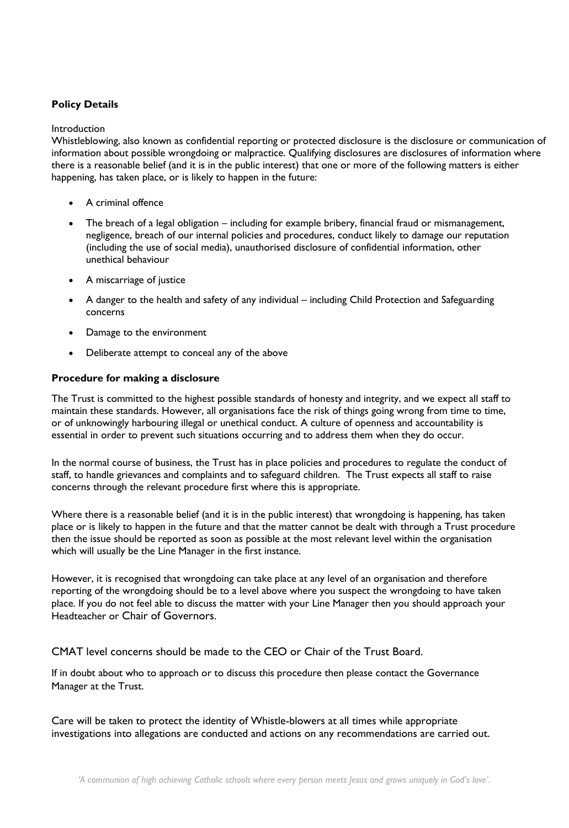# **Policy Details**

#### Introduction

Whistleblowing, also known as confidential reporting or protected disclosure is the disclosure or communication of information about possible wrongdoing or malpractice. Qualifying disclosures are disclosures of information where there is a reasonable belief (and it is in the public interest) that one or more of the following matters is either happening, has taken place, or is likely to happen in the future:

- A criminal offence
- The breach of a legal obligation including for example bribery, financial fraud or mismanagement, negligence, breach of our internal policies and procedures, conduct likely to damage our reputation (including the use of social media), unauthorised disclosure of confidential information, other unethical behaviour
- A miscarriage of justice
- A danger to the health and safety of any individual including Child Protection and Safeguarding concerns
- Damage to the environment
- Deliberate attempt to conceal any of the above

## **Procedure for making a disclosure**

The Trust is committed to the highest possible standards of honesty and integrity, and we expect all staff to maintain these standards. However, all organisations face the risk of things going wrong from time to time, or of unknowingly harbouring illegal or unethical conduct. A culture of openness and accountability is essential in order to prevent such situations occurring and to address them when they do occur.

In the normal course of business, the Trust has in place policies and procedures to regulate the conduct of staff, to handle grievances and complaints and to safeguard children. The Trust expects all staff to raise concerns through the relevant procedure first where this is appropriate.

Where there is a reasonable belief (and it is in the public interest) that wrongdoing is happening, has taken place or is likely to happen in the future and that the matter cannot be dealt with through a Trust procedure then the issue should be reported as soon as possible at the most relevant level within the organisation which will usually be the Line Manager in the first instance.

However, it is recognised that wrongdoing can take place at any level of an organisation and therefore reporting of the wrongdoing should be to a level above where you suspect the wrongdoing to have taken place. If you do not feel able to discuss the matter with your Line Manager then you should approach your Headteacher or Chair of Governors.

CMAT level concerns should be made to the CEO or Chair of the Trust Board.

If in doubt about who to approach or to discuss this procedure then please contact the Governance Manager at the Trust.

Care will be taken to protect the identity of Whistle-blowers at all times while appropriate investigations into allegations are conducted and actions on any recommendations are carried out.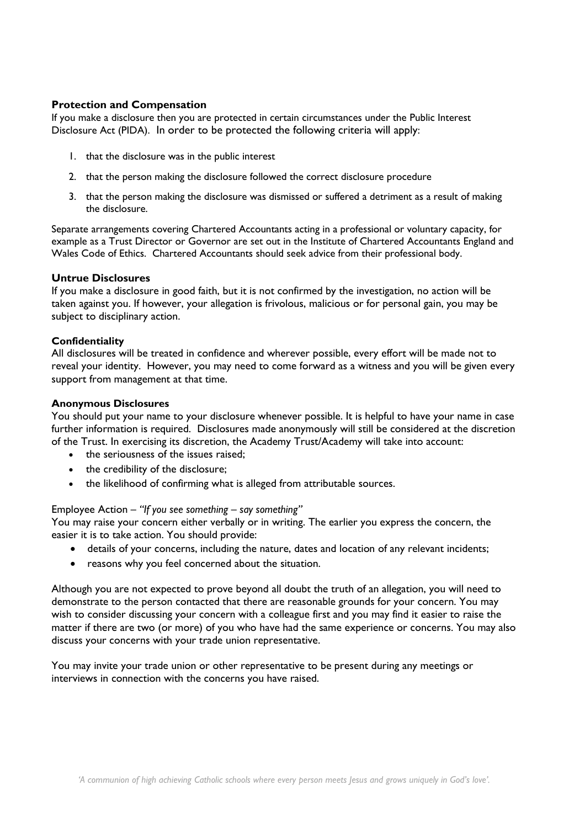# **Protection and Compensation**

If you make a disclosure then you are protected in certain circumstances under the Public Interest Disclosure Act (PIDA). In order to be protected the following criteria will apply:

- 1. that the disclosure was in the public interest
- 2. that the person making the disclosure followed the correct disclosure procedure
- 3. that the person making the disclosure was dismissed or suffered a detriment as a result of making the disclosure.

Separate arrangements covering Chartered Accountants acting in a professional or voluntary capacity, for example as a Trust Director or Governor are set out in the Institute of Chartered Accountants England and Wales Code of Ethics. Chartered Accountants should seek advice from their professional body.

## **Untrue Disclosures**

If you make a disclosure in good faith, but it is not confirmed by the investigation, no action will be taken against you. If however, your allegation is frivolous, malicious or for personal gain, you may be subject to disciplinary action.

#### **Confidentiality**

All disclosures will be treated in confidence and wherever possible, every effort will be made not to reveal your identity. However, you may need to come forward as a witness and you will be given every support from management at that time.

#### **Anonymous Disclosures**

You should put your name to your disclosure whenever possible. It is helpful to have your name in case further information is required. Disclosures made anonymously will still be considered at the discretion of the Trust. In exercising its discretion, the Academy Trust/Academy will take into account:

- the seriousness of the issues raised;
- the credibility of the disclosure;
- the likelihood of confirming what is alleged from attributable sources.

## Employee Action – *"If you see something – say something"*

You may raise your concern either verbally or in writing. The earlier you express the concern, the easier it is to take action. You should provide:

- details of your concerns, including the nature, dates and location of any relevant incidents;
- reasons why you feel concerned about the situation.

Although you are not expected to prove beyond all doubt the truth of an allegation, you will need to demonstrate to the person contacted that there are reasonable grounds for your concern. You may wish to consider discussing your concern with a colleague first and you may find it easier to raise the matter if there are two (or more) of you who have had the same experience or concerns. You may also discuss your concerns with your trade union representative.

You may invite your trade union or other representative to be present during any meetings or interviews in connection with the concerns you have raised.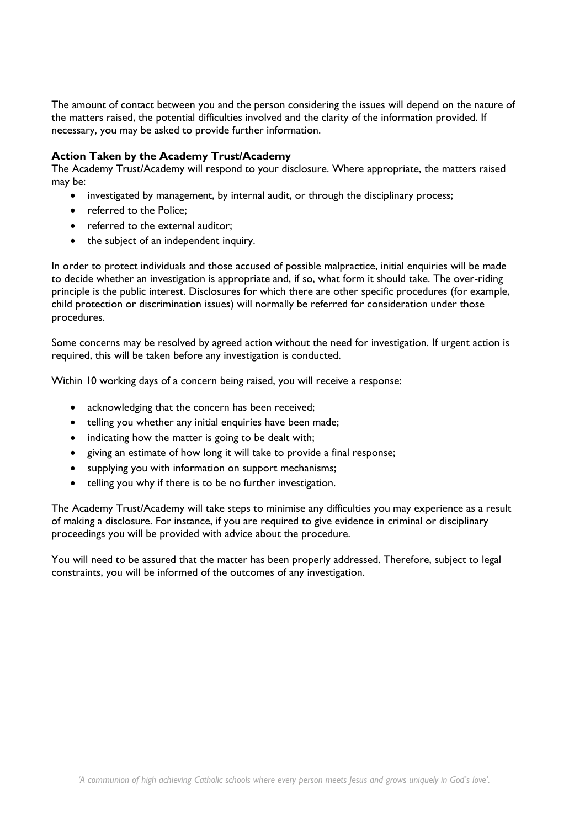The amount of contact between you and the person considering the issues will depend on the nature of the matters raised, the potential difficulties involved and the clarity of the information provided. If necessary, you may be asked to provide further information.

# **Action Taken by the Academy Trust/Academy**

The Academy Trust/Academy will respond to your disclosure. Where appropriate, the matters raised may be:

- investigated by management, by internal audit, or through the disciplinary process;
- referred to the Police;
- referred to the external auditor:
- the subject of an independent inquiry.

In order to protect individuals and those accused of possible malpractice, initial enquiries will be made to decide whether an investigation is appropriate and, if so, what form it should take. The over-riding principle is the public interest. Disclosures for which there are other specific procedures (for example, child protection or discrimination issues) will normally be referred for consideration under those procedures.

Some concerns may be resolved by agreed action without the need for investigation. If urgent action is required, this will be taken before any investigation is conducted.

Within 10 working days of a concern being raised, you will receive a response:

- acknowledging that the concern has been received;
- telling you whether any initial enquiries have been made;
- indicating how the matter is going to be dealt with;
- giving an estimate of how long it will take to provide a final response;
- supplying you with information on support mechanisms;
- telling you why if there is to be no further investigation.

The Academy Trust/Academy will take steps to minimise any difficulties you may experience as a result of making a disclosure. For instance, if you are required to give evidence in criminal or disciplinary proceedings you will be provided with advice about the procedure.

You will need to be assured that the matter has been properly addressed. Therefore, subject to legal constraints, you will be informed of the outcomes of any investigation.